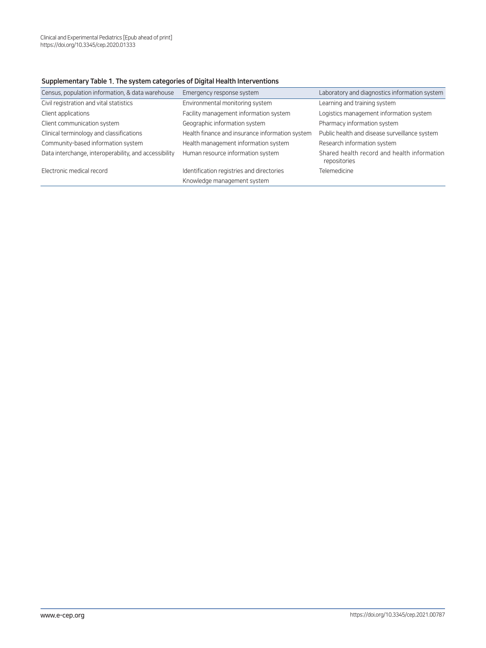## Supplementary Table 1. The system categories of Digital Health Interventions

| Census, population information, & data warehouse      | Emergency response system                       | Laboratory and diagnostics information system               |
|-------------------------------------------------------|-------------------------------------------------|-------------------------------------------------------------|
| Civil registration and vital statistics               | Environmental monitoring system                 | Learning and training system                                |
| Client applications                                   | Facility management information system          | Logistics management information system                     |
| Client communication system                           | Geographic information system                   | Pharmacy information system                                 |
| Clinical terminology and classifications              | Health finance and insurance information system | Public health and disease surveillance system               |
| Community-based information system                    | Health management information system            | Research information system                                 |
| Data interchange, interoperability, and accessibility | Human resource information system               | Shared health record and health information<br>repositories |
| Electronic medical record                             | Identification registries and directories       | Telemedicine                                                |
|                                                       | Knowledge management system                     |                                                             |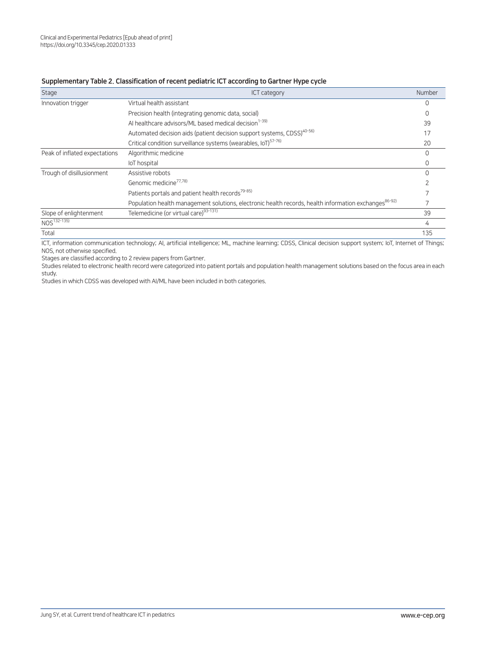## Supplementary Table 2. Classification of recent pediatric ICT according to Gartner Hype cycle

| Stage                         | <b>ICT category</b>                                                                                              | Number           |
|-------------------------------|------------------------------------------------------------------------------------------------------------------|------------------|
| Innovation trigger            | Virtual health assistant                                                                                         |                  |
|                               | Precision health (integrating genomic data, social)                                                              |                  |
|                               | Al healthcare advisors/ML based medical decision <sup>1-39)</sup>                                                | 39               |
|                               | Automated decision aids (patient decision support systems, CDSS) <sup>40-56)</sup>                               | 17               |
|                               | Critical condition surveillance systems (wearables, IoT) <sup>57-76)</sup>                                       | 20               |
| Peak of inflated expectations | Algorithmic medicine                                                                                             |                  |
|                               | loT hospital                                                                                                     | $\left( \right)$ |
| Trough of disillusionment     | Assistive robots                                                                                                 |                  |
|                               | Genomic medicine <sup>77,78)</sup>                                                                               |                  |
|                               | Patients portals and patient health records <sup>79-85)</sup>                                                    |                  |
|                               | Population health management solutions, electronic health records, health information exchanges <sup>86-92</sup> |                  |
| Slope of enlightenment        | Telemedicine (or virtual care) <sup>93-131)</sup>                                                                | 39               |
| $NOS^{132-135}$               |                                                                                                                  | 4                |
| Total                         |                                                                                                                  | 135              |

ICT, information communication technology; AI, artificial intelligence; ML, machine learning; CDSS, Clinical decision support system; IoT, Internet of Things; NOS, not otherwise specified.

Stages are classified according to 2 review papers from Gartner.

Studies related to electronic health record were categorized into patient portals and population health management solutions based on the focus area in each study.

Studies in which CDSS was developed with AI/ML have been included in both categories.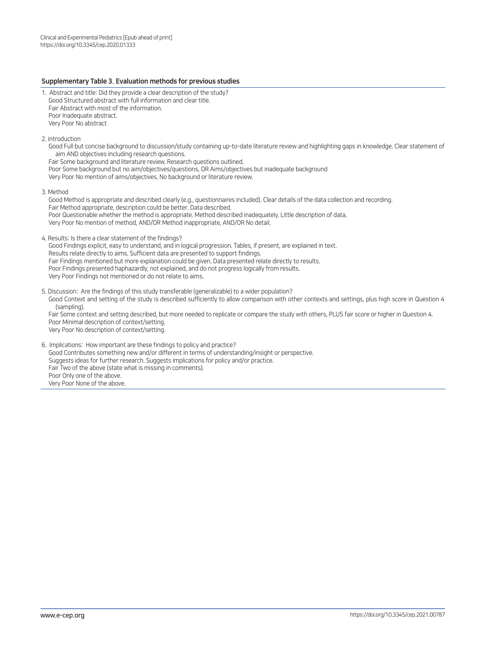## Supplementary Table 3. Evaluation methods for previous studies

- 1. Abstract and title: Did they provide a clear description of the study? Good Structured abstract with full information and clear title. Fair Abstract with most of the information. Poor Inadequate abstract. Very Poor No abstract
- 2. introduction
	- Good Full but concise background to discussion/study containing up-to-date literature review and highlighting gaps in knowledge. Clear statement of aim AND objectives including research questions.

Fair Some background and literature review. Research questions outlined.

Poor Some background but no aim/objectives/questions, OR Aims/objectives but inadequate background

Very Poor No mention of aims/objectives. No background or literature review.

3. Method

Good Method is appropriate and described clearly (e.g., questionnaires included). Clear details of the data collection and recording. Fair Method appropriate, description could be better. Data described. Poor Questionable whether the method is appropriate. Method described inadequately. Little description of data. Very Poor No mention of method, AND/OR Method inappropriate, AND/OR No detail.

4. Results: Is there a clear statement of the findings?

Good Findings explicit, easy to understand, and in logical progression. Tables, if present, are explained in text. Results relate directly to aims. Sufficient data are presented to support findings. Fair Findings mentioned but more explanation could be given. Data presented relate directly to results. Poor Findings presented haphazardly, not explained, and do not progress logically from results. Very Poor Findings not mentioned or do not relate to aims.

5. Discussion: Are the findings of this study transferable (generalizable) to a wider population? Good Context and setting of the study is described sufficiently to allow comparison with other contexts and settings, plus high score in Question 4 (sampling). Fair Some context and setting described, but more needed to replicate or compare the study with others, PLUS fair score or higher in Question 4.

Poor Minimal description of context/setting. Very Poor No description of context/setting.

6. Implications: How important are these findings to policy and practice? Good Contributes something new and/or different in terms of understanding/insight or perspective. Suggests ideas for further research. Suggests implications for policy and/or practice. Fair Two of the above (state what is missing in comments). Poor Only one of the above. Very Poor None of the above.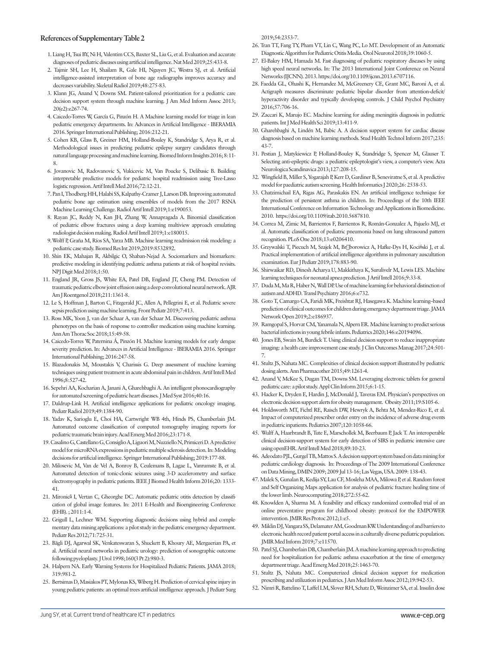## **References of Supplementary Table 2**

- 1. Liang H, Tsui BY, Ni H, Valentim CCS, Baxter SL, Liu G, et al. Evaluation and accurate diagnoses of pediatric diseases using artificial intelligence. Nat Med 2019;25:433-8.
- 2. Tajmir SH, Lee H, Shailam R, Gale HI, Nguyen JC, Westra SJ, et al. Artificial intelligence-assisted interpretation of bone age radiographs improves accuracy and decreases variability. Skeletal Radiol 2019;48:275-83.
- 3. Klann JG, Anand V, Downs SM. Patient-tailored prioritization for a pediatric care decision support system through machine learning. J Am Med Inform Assoc 2013; 20(e2):e267-74.
- 4. Caicedo-Torres W, García G, Pinzón H. A Machine learning model for triage in lean pediatric emergency departments. In: Advances in Artificial Intelligence - IBERAMIA 2016. Springer International Publishing; 2016:212-21.
- 5. Cohen KB, Glass B, Greiner HM, Holland-Bouley K, Standridge S, Arya R, et al. Methodological issues in predicting pediatric epilepsy surgery candidates through natural language processing and machine learning. Biomed Inform Insights 2016; 8:11- 8.
- 6. Jovanovic M, Radovanovic S, Vukicevic M, Van Poucke S, Delibasic B. Building interpretable predictive models for pediatric hospital readmission using Tree-Lasso logistic regression. Artif Intell Med 2016;72:12-21.
- 7. Pan I, Thodberg HH, Halabi SS, Kalpathy-Cramer J, Larson DB. Improving automated pediatric bone age estimation using ensembles of models from the 2017 RSNA Machine Learning Challenge. Radiol Artif Intell 2019;1:e190053.
- 8. Rayan JC, Reddy N, Kan JH, Zhang W, Annapragada A. Binomial classification of pediatric elbow fractures using a deep learning multiview approach emulating radiologist decision making. Radiol Artif Intell 2019;1:e180015.
- 9.Wolff P, Graña M, Ríos SA, Yarza MB. Machine learning readmission risk modeling: a pediatric case study. Biomed Res Int 2019;2019:8532892.
- 10. Shin EK, Mahajan R, Akbilgic O, Shaban-Nejad A. Sociomarkers and biomarkers: predictive modeling in identifying pediatric asthma patients at risk of hospital revisits. NPJ Digit Med 2018;1:50.
- 11. England JR, Gross JS, White EA, Patel DB, England JT, Cheng PM. Detection of traumatic pediatric elbow joint effusion using a deep convolutional neural network. AJR Am J Roentgenol 2018;211:1361-8.
- 12. Le S, Hoffman J, Barton C, Fitzgerald JC, Allen A, Pellegrini E, et al. Pediatric severe sepsis prediction using machine learning. Front Pediatr 2019;7:413.
- 13. Ross MK, Yoon J, van der Schaar A, van der Schaar M. Discovering pediatric asthma phenotypes on the basis of response to controller medication using machine learning. Ann Am Thorac Soc 2018;15:49-58.
- 14. Caicedo-Torres W, Paternina Á, Pinzón H. Machine learning models for early dengue severity prediction. In: Advances in Artificial Intelligence - IBERAMIA 2016. Springer International Publishing; 2016:247-58.
- 15. Blazadonakis M, Moustakis V, Charissis G. Deep assessment of machine learning techniques using patient treatment in acute abdominal pain in children. Artif Intell Med 1996;8:527-42.
- 16. Sepehri AA, Kocharian A, Janani A, Gharehbaghi A. An intelligent phonocardiography for automated screening of pediatric heart diseases. J Med Syst 2016;40:16.
- 17. Daldrup-Link H. Artificial intelligence applications for pediatric oncology imaging. Pediatr Radiol 2019;49:1384-90.
- 18. Yadav K, Sarioglu E, Choi HA, Cartwright WB 4th, Hinds PS, Chamberlain JM. Automated outcome classification of computed tomography imaging reports for pediatric traumatic brain injury. Acad Emerg Med 2016;23:171-8.
- 19. Casalino G, Castellano G, Consiglio A, Liguori M, Nuzziello N, Primiceri D. A predictive model for microRNA expressions in pediatric multiple sclerosis detection. In: Modeling decisions for artificial intelligence. Springer International Publishing; 2019:177-88.
- 20. Milosevic M, Van de Vel A, Bonroy B, Ceulemans B, Lagae L, Vanrumste B, et al. Automated detection of tonic-clonic seizures using 3-D accelerometry and surface electromyography in pediatric patients. IEEE J Biomed Health Inform 2016;20: 1333- 41.
- 21. Mironică I, Vertan C, Gheorghe DC. Automatic pediatric otitis detection by classification of global image features. In: 2011 E-Health and Bioengineering Conference (EHB). ; 2011:1-4.
- 22. Grigull L, Lechner WM. Supporting diagnostic decisions using hybrid and complementary data mining applications: a pilot study in the pediatric emergency department. Pediatr Res 2012;71:725-31.
- 23. Bägli DJ, Agarwal SK, Venkateswaran S, Shuckett B, Khoury AE, Merguerian PA, et al. Artificial neural networks in pediatric urology: prediction of sonographic outcome following pyeloplasty. J Urol 1998;160(3 Pt 2):980-3.
- 24. Halpern NA. Early Warning Systems for Hospitalized Pediatric Patients. JAMA 2018; 319:981-2.
- 25. Bertsimas D, Masiakos PT, Mylonas KS, Wiberg H. Prediction of cervical spine injury in young pediatric patients: an optimal trees artificial intelligence approach. J Pediatr Surg

2019;54:2353-7.

- 26. Tran TT, Fang TY, Pham VT, Lin C, Wang PC, Lo MT. Development of an Automatic Diagnostic Algorithm for Pediatric Otitis Media. Otol Neurotol 2018;39:1060-5.
- 27. El-Bakry HM, Hamada M. Fast diagnosing of pediatric respiratory diseases by using high speed neural networks. In: The 2013 International Joint Conference on Neural Networks (IJCNN). 2013. https://doi.org/10.1109/ijcnn.2013.6707116.
- 28. Faedda GL, Ohashi K, Hernandez M, McGreenery CE, Grant MC, Baroni A, et al. Actigraph measures discriminate pediatric bipolar disorder from attention-deficit/ hyperactivity disorder and typically developing controls. J Child Psychol Psychiatry 2016;57:706-16.
- 29. Zaccari K, Marujo EC. Machine learning for aiding meningitis diagnosis in pediatric patients. Int J Med Health Sci 2019;13:411-9.
- 30. Gharehbaghi A, Lindén M, Babic A. A decision support system for cardiac disease diagnosis based on machine learning methods. Stud Health Technol Inform 2017;235: 43-7.
- 31. Pestian J, Matykiewicz P, Holland-Bouley K, Standridge S, Spencer M, Glauser T. Selecting anti-epileptic drugs: a pediatric epileptologist's view, a computer's view. Acta Neurologica Scandinavica 2013;127:208-15.
- 32. Wingfield B, Miller S, Yogarajah P, Kerr D, Gardiner B, Seneviratne S, et al. A predictive model for paediatric autism screening. Health Informatics J 2020;26: 2538-53.
- 33. Chatzimichail EA, Rigas AG, Paraskakis EN. An artificial intelligence technique for the prediction of persistent asthma in children. In: Proceedings of the 10th IEEE International Conference on Information Technology and Applications in Biomedicine. 2010. https://doi.org/10.1109/itab.2010.5687810.
- 34. Correa M, Zimic M, Barrientos F, Barrientos R, Román-Gonzalez A, Pajuelo MJ, et al. Automatic classification of pediatric pneumonia based on lung ultrasound pattern recognition. PLoS One 2018;13:e0206410.
- 35. Grzywalski T, Piecuch M, Szajek M, Br<sup>[</sup>]borowicz A, Hafke-Dys H, Kociński J, et al. Practical implementation of artificial intelligence algorithms in pulmonary auscultation examination. Eur J Pediatr 2019;178:883-90.
- 36. Shirwaikar RD, Dinesh Acharya U, Makkithaya K, Surulivelr M, Lewis LES. Machine learning techniques for neonatal apnea prediction. J Artif Intell 2016;9:33-8.
- 37. Duda M, Ma R, Haber N, Wall DP. Use of machine learning for behavioral distinction of autism and ADHD. Transl Psychiatry 2016;6:e732.
- 38. Goto T, Camargo CA, Faridi MK, Freishtat RJ, Hasegawa K. Machine learning–based prediction of clinical outcomes for children during emergency department triage. JAMA Network Open 2019;2:e186937.
- 39. Ramgopal S, Horvat CM, Yanamala N, Alpern ER. Machine learning to predict serious bacterial infections in young febrile infants. Pediatrics 2020;146:e20194096.
- 40. Jones EB, Swain M, Burdick T. Using clinical decision support to reduce inappropriate imaging: a health care improvement case study. J Clin Outcomes Manag 2017;24:501- 7.
- 41. Stultz JS, Nahata MC. Complexities of clinical decision support illustrated by pediatric dosing alerts. Ann Pharmacother 2015;49:1261-4.
- 42. Anand V, McKee S, Dugan TM, Downs SM. Leveraging electronic tablets for general pediatric care: a pilot study. Appl Clin Inform 2015;6:1-15.
- 43. Hacker K, Dryden E, Hardin J, McDonald J, Taveras EM. Physician's perspectives on electronic decision support alerts for obesity management. Obesity 2011;19:S105-6.
- 44. Holdsworth MT, Fichtl RE, Raisch DW, Hewryk A, Behta M, Mendez-Rico E, et al. Impact of computerized prescriber order entry on the incidence of adverse drug events in pediatric inpatients. Pediatrics 2007;120:1058-66.
- 45. Wulff A, Haarbrandt B, Tute E, Marschollek M, Beerbaum P, Jack T. An interoperable clinical decision-support system for early detection of SIRS in pediatric intensive care using openEHR. Artif Intell Med 2018;89:10-23.
- 46. Adeodato PJL, Gurgel TB, Mattos S. A decision support system based on data mining for pediatric cardiology diagnosis. In: Proceedings of The 2009 International Conference on Data Mining, DMIN 2009; 2009 Jul 13-16; Las Vegas, USA. 2009: 138-43.
- 47. Malek S, Gunalan R, Kedija SY, Lau CF, Mosleha MAA, Milowa P, et al. Random forest and Self Organizing Maps application for analysis of pediatric fracture healing time of the lower limb. Neurocomputing 2018;272:55-62.
- 48. Knowlden A, Sharma M. A feasibility and efficacy randomized controlled trial of an online preventative program for childhood obesity: protocol for the EMPOWER intervention. JMIR Res Protoc 2012;1:e5.
- 49. Miklin DJ, Vangara SS, Delamater AM, Goodman KW. Understanding of and barriers to electronic health record patient portal access in a culturally diverse pediatric population. JMIR Med Inform 2019;7:e11570.
- 50. Patel SJ, Chamberlain DB, Chamberlain JM. A machine learning approach to predicting need for hospitalization for pediatric asthma exacerbation at the time of emergency department triage. Acad Emerg Med 2018;25:1463-70.
- 51. Stultz JS, Nahata MC. Computerized clinical decision support for medication prescribing and utilization in pediatrics. J Am Med Inform Assoc 2012;19:942-53.
- 52. Nimri R, Battelino T, Laffel LM, Slover RH, Schatz D, Weinzimer SA, et al. Insulin dose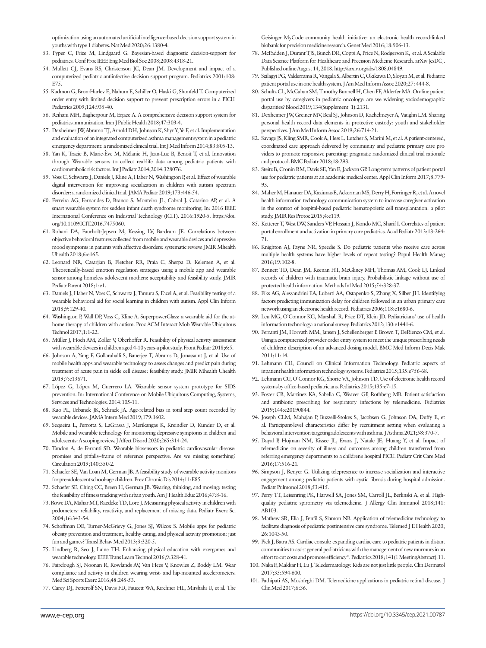optimization using an automated artificial intelligence-based decision support system in youths with type 1 diabetes. Nat Med 2020;26:1380-4.

- 53. Pyper C, Frize M, Lindgaard G. Bayesian-based diagnostic decision-support for pediatrics. Conf Proc IEEE Eng Med Biol Soc 2008;2008:4318-21.
- 54. Mullett CJ, Evans RS, Christenson JC, Dean JM. Development and impact of a computerized pediatric antiinfective decision support program. Pediatrics 2001;108: E75.
- 55. Kadmon G, Bron-Harlev E, Nahum E, Schiller O, Haski G, Shonfeld T. Computerized order entry with limited decision support to prevent prescription errors in a PICU. Pediatrics 2009;124:935-40.
- 56. Reihani MH, Bagherpour M, Erjaee A. A comprehensive decision support system for pediatrics immunization. Iran J Public Health 2018;47:303-4.
- 57. Dexheimer JW, Abramo TJ, Arnold DH, Johnson K, Shyr Y, Ye F, et al. Implementation and evaluation of an integrated computerized asthma management system in a pediatric emergency department: a randomized clinical trial. Int J Med Inform 2014;83:805-13.
- 58. Yan K, Tracie B, Marie-Ève M, Mélanie H, Jean-Luc B, Benoit T, et al. Innovation through Wearable sensors to collect real-life data among pediatric patients with cardiometabolic risk factors. Int J Pediatr 2014;2014:328076.
- 59. Voss C, Schwartz J, Daniels J, Kline A, Haber N, Washington P, et al. Effect of wearable digital intervention for improving socialization in children with autism spectrum disorder: a randomized clinical trial. JAMA Pediatr 2019;173:446-54.
- 60. Ferreira AG, Fernandes D, Branco S, Monteiro JL, Cabral J, Catarino AP, et al. A smart wearable system for sudden infant death syndrome monitoring. In: 2016 IEEE International Conference on Industrial Technology (ICIT). 2016:1920-5. https://doi. org/10.1109/ICIT.2016.7475060.
- 61. Rohani DA, Faurholt-Jepsen M, Kessing LV, Bardram JE. Correlations between objective behavioral features collected from mobile and wearable devices and depressive mood symptoms in patients with affective disorders: systematic review. JMIR Mhealth Uhealth 2018;6:e165.
- 62. Leonard NR, Casarjian B, Fletcher RR, Praia C, Sherpa D, Kelemen A, et al. Theoretically-based emotion regulation strategies using a mobile app and wearable sensor among homeless adolescent mothers: acceptability and feasibility study. JMIR Pediatr Parent 2018;1:e1.
- 63. Daniels J, Haber N, Voss C, Schwartz J, Tamura S, Fazel A, et al. Feasibility testing of a wearable behavioral aid for social learning in children with autism. Appl Clin Inform 2018;9:129-40.
- 64. Washington P, Wall DP, Voss C, Kline A. SuperpowerGlass: a wearable aid for the athome therapy of children with autism. Proc ACM Interact Mob Wearable Ubiquitous Technol 2017;1:1-22.
- 65. Müller J, Hoch AM, Zoller V, Oberhoffer R. Feasibility of physical activity assessment with wearable devices in children aged 4-10 years-a pilot study. Front Pediatr 2018;6:5.
- 66. Johnson A, Yang F, Gollarahalli S, Banerjee T, Abrams D, Jonassaint J, et al. Use of mobile health apps and wearable technology to assess changes and predict pain during treatment of acute pain in sickle cell disease: feasibility study. JMIR Mhealth Uhealth 2019;7:e13671.
- 67. López G, López M, Guerrero LA. Wearable sensor system prototype for SIDS prevention. In: International Conference on Mobile Ubiquitous Computing, Systems, Services and Technologies. 2014:105-11.
- 68. Kuo PL, Urbanek JK, Schrack JA. Age-related bias in total step count recorded by wearable devices. JAMA Intern Med 2019;179:1602.
- 69. Sequeira L, Perrotta S, LaGrassa J, Merikangas K, Kreindler D, Kundur D, et al. Mobile and wearable technology for monitoring depressive symptoms in children and adolescents: A scoping review. J Affect Disord 2020;265:314-24.
- 70. Tandon A, de Ferranti SD. Wearable biosensors in pediatric cardiovascular disease: promises and pitfalls--frame of reference perspective. Are we missing something? Circulation 2019;140:350-2.
- 71. Schaefer SE, Van Loan M, German JB. A feasibility study of wearable activity monitors for pre-adolescent school-age children. Prev Chronic Dis 2014;11:E85.
- 72. Schaefer SE, Ching CC, Breen H, German JB. Wearing, thinking, and moving: testing the feasibility of fitness tracking with urban youth. Am J Health Educ 2016;47:8-16.
- 73. Rowe DA, Mahar MT, Raedeke TD, Lore J. Measuring physical activity in children with pedometers: reliability, reactivity, and replacement of missing data. Pediatr Exerc Sci 2004;16:343-54.
- 74. Schoffman DE, Turner-McGrievy G, Jones SJ, Wilcox S. Mobile apps for pediatric obesity prevention and treatment, healthy eating, and physical activity promotion: just fun and games? Transl Behav Med 2013;3:320-5.
- 75. Lindberg R, Seo J, Laine TH. Enhancing physical education with exergames and wearable technology. IEEE Trans Learn Technol 2016;9:328-41.
- 76. Fairclough SJ, Noonan R, Rowlands AV, Van Hees V, Knowles Z, Boddy LM. Wear compliance and activity in children wearing wrist- and hip-mounted accelerometers. Med Sci Sports Exerc 2016;48:245-53.
- 77. Carey DJ, Fetterolf SN, Davis FD, Faucett WA, Kirchner HL, Mirshahi U, et al. The

Geisinger MyCode community health initiative: an electronic health record-linked biobank for precision medicine research. Genet Med 2016;18:906-13.

- 78. McPadden J, Durant TJS, Bunch DR, Coppi A, Price N, Rodgerson K, et al. A Scalable Data Science Platform for Healthcare and Precision Medicine Research. arXiv [csDC]. Published online August 14, 2018. http://arxiv.org/abs/1808.04849.
- 79. Szilagyi PG, Valderrama R, Vangala S, Albertin C, Okikawa D, Sloyan M, et al. Pediatric patient portal use in one health system. J Am Med Inform Assoc 2020;27: 444-8.
- 80. Schultz CL, McCahan SM, Timothy Bunnell H, Chen FF, Alderfer MA. On-line patient portal use by caregivers in pediatric oncology: are we widening sociodemographic disparities? Blood 2019;134(Supplement\_1):2131.
- 81. Dexheimer JW, Greiner MV, Beal SJ, Johnson D, Kachelmeyer A, Vaughn LM. Sharing personal health record data elements in protective custody: youth and stakeholder perspectives. J Am Med Inform Assoc 2019;26:714-21.
- 82. Savage JS, Kling SMR, Cook A, Hess L, Lutcher S, Marini M, et al. A patient-centered, coordinated care approach delivered by community and pediatric primary care providers to promote responsive parenting: pragmatic randomized clinical trial rationale and protocol. BMC Pediatr 2018;18:293.
- 83. Steitz B, Cronin RM, Davis SE, Yan E, Jackson GP. Long-term patterns of patient portal use for pediatric patients at an academic medical center. Appl Clin Inform 2017;8:779- **93**
- 84. Maher M, Hanauer DA, Kaziunas E, Ackerman MS, Derry H, Forringer R, et al. A novel health information technology communication system to increase caregiver activation in the context of hospital-based pediatric hematopoietic cell transplantation: a pilot study. JMIR Res Protoc 2015;4:e119.
- 85. Ketterer T, West DW, Sanders VP, Hossain J, Kondo MC, Sharif I. Correlates of patient portal enrollment and activation in primary care pediatrics. Acad Pediatr 2013;13:264- 71.
- 86. Knighton AJ, Payne NR, Speedie S. Do pediatric patients who receive care across multiple health systems have higher levels of repeat testing? Popul Health Manag 2016;19:102-8.
- 87. Bennett TD, Dean JM, Keenan HT, McGlincy MH, Thomas AM, Cook LJ. Linked records of children with traumatic brain injury. Probabilistic linkage without use of protected health information. Methods Inf Med 2015;54:328-37.
- 88. Fiks AG, Alessandrini EA, Luberti AA, Ostapenko S, Zhang X, Silber JH. Identifying factors predicting immunization delay for children followed in an urban primary care network using an electronic health record. Pediatrics 2006;118:e1680-6.
- 89. Leu MG, O'Connor KG, Marshall R, Price DT, Klein JD. Pediatricians' use of health information technology: a national survey. Pediatrics 2012;130:e1441-6.
- 90. Ferranti JM, Horvath MM, Jansen J, Schellenberger P, Brown T, DeRienzo CM, et al. Using a computerized provider order entry system to meet the unique prescribing needs of children: description of an advanced dosing model. BMC Med Inform Decis Mak 2011;11:14.
- 91. Lehmann CU; Council on Clinical Information Technology. Pediatric aspects of inpatient health information technology systems. Pediatrics 2015;135:e756-68.
- 92. Lehmann CU, O'Connor KG, Shorte VA, Johnson TD. Use of electronic health record systems by office-based pediatricians. Pediatrics 2015;135:e7-15.
- 93. Foster CB, Martinez KA, Sabella C, Weaver GP, Rothberg MB. Patient satisfaction and antibiotic prescribing for respiratory infections by telemedicine. Pediatrics 2019;144:e20190844.
- 94. Joseph CLM, Mahajan P, Buzzelli-Stokes S, Jacobsen G, Johnson DA, Duffy E, et al. Participant-level characteristics differ by recruitment setting when evaluating a behavioral intervention targeting adolescents with asthma. J Asthma 2021;58:370-7.
- 95. Dayal P, Hojman NM, Kissee JL, Evans J, Natale JE, Huang Y, et al. Impact of telemedicine on severity of illness and outcomes among children transferred from referring emergency departments to a children's hospital PICU. Pediatr Crit Care Med 2016;17:516-21.
- 96. Simpson J, Renyer G. Utilizing telepresence to increase socialization and interactive engagement among pediatric patients with cystic fibrosis during hospital admission. Pediatr Pulmonol 2018;53:415.
- 97. Perry TT, Leisenring PK, Harwell SA, Jones SM, Carroll JL, Berlinski A, et al. Highquality pediatric spirometry via telemedicine. J Allergy Clin Immunol 2018;141: AB103.
- 98. Mathew SR, Elia J, Penfil S, Slamon NB. Application of telemedicine technology to facilitate diagnosis of pediatric postintensive care syndrome. Telemed J E Health 2020; 26:1043-50.
- 99. Pick J, Batra AS. Cardiac consult: expanding cardiac care to pediatric patients in distant communities to assist general pediatricians with the management of new murmurs in an effort to cut costs and promote efficiency\*. Pediatrics 2018;141(1 MeetingAbstract):11.
- 100. Naka F, Makkar H, Lu J. Teledermatology: Kids are not just little people. Clin Dermatol 2017;35:594-600.
- 101. Pathipati AS, Moshfeghi DM. Telemedicine applications in pediatric retinal disease. J Clin Med 2017;6:36.